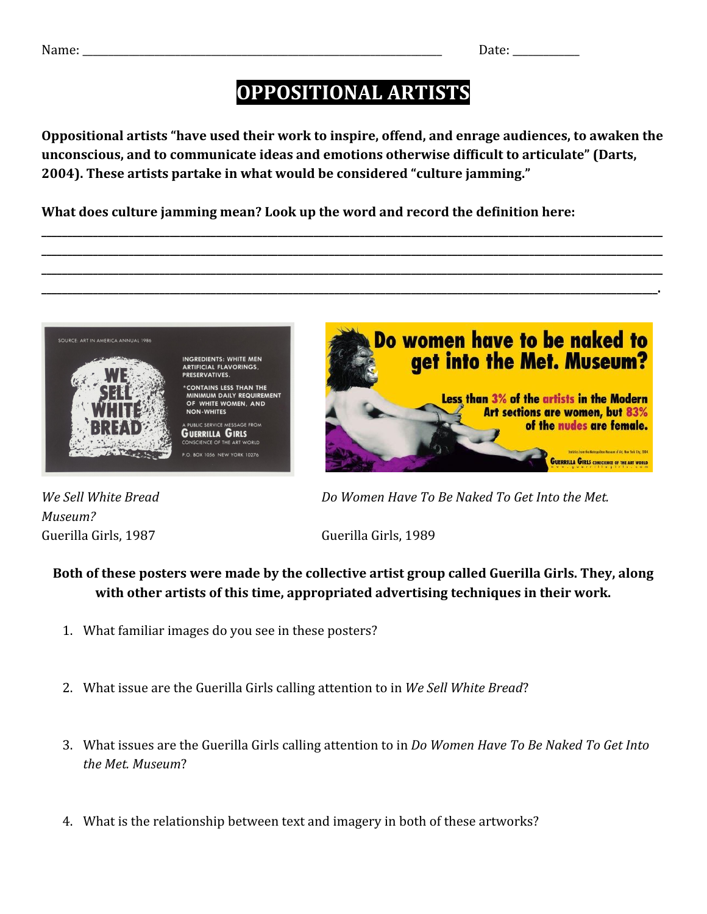## **OPPOSITIONAL ARTISTS**

**Oppositional artists "have used their work to inspire, offend, and enrage audiences, to awaken the unconscious, and to communicate ideas and emotions otherwise difficult to articulate" (Darts, 2004). These artists partake in what would be considered "culture jamming."**

**\_\_\_\_\_\_\_\_\_\_\_\_\_\_\_\_\_\_\_\_\_\_\_\_\_\_\_\_\_\_\_\_\_\_\_\_\_\_\_\_\_\_\_\_\_\_\_\_\_\_\_\_\_\_\_\_\_\_\_\_\_\_\_\_\_\_\_\_\_\_\_\_\_\_\_\_\_\_\_\_\_\_\_\_\_\_\_\_\_\_\_\_\_\_\_\_\_\_\_\_\_\_\_\_\_\_\_\_\_\_\_\_\_\_\_\_\_\_\_\_\_ \_\_\_\_\_\_\_\_\_\_\_\_\_\_\_\_\_\_\_\_\_\_\_\_\_\_\_\_\_\_\_\_\_\_\_\_\_\_\_\_\_\_\_\_\_\_\_\_\_\_\_\_\_\_\_\_\_\_\_\_\_\_\_\_\_\_\_\_\_\_\_\_\_\_\_\_\_\_\_\_\_\_\_\_\_\_\_\_\_\_\_\_\_\_\_\_\_\_\_\_\_\_\_\_\_\_\_\_\_\_\_\_\_\_\_\_\_\_\_\_\_ \_\_\_\_\_\_\_\_\_\_\_\_\_\_\_\_\_\_\_\_\_\_\_\_\_\_\_\_\_\_\_\_\_\_\_\_\_\_\_\_\_\_\_\_\_\_\_\_\_\_\_\_\_\_\_\_\_\_\_\_\_\_\_\_\_\_\_\_\_\_\_\_\_\_\_\_\_\_\_\_\_\_\_\_\_\_\_\_\_\_\_\_\_\_\_\_\_\_\_\_\_\_\_\_\_\_\_\_\_\_\_\_\_\_\_\_\_\_\_\_\_ \_\_\_\_\_\_\_\_\_\_\_\_\_\_\_\_\_\_\_\_\_\_\_\_\_\_\_\_\_\_\_\_\_\_\_\_\_\_\_\_\_\_\_\_\_\_\_\_\_\_\_\_\_\_\_\_\_\_\_\_\_\_\_\_\_\_\_\_\_\_\_\_\_\_\_\_\_\_\_\_\_\_\_\_\_\_\_\_\_\_\_\_\_\_\_\_\_\_\_\_\_\_\_\_\_\_\_\_\_\_\_\_\_\_\_\_\_\_\_\_.**

**What does culture jamming mean? Look up the word and record the definition here:**



*Museum?* Guerilla Girls, 1987 Guerilla Girls, 1989

*We Sell White Bread Do Women Have To Be Naked To Get Into the Met.*

## **Both of these posters were made by the collective artist group called Guerilla Girls. They, along with other artists of this time, appropriated advertising techniques in their work.**

- 1. What familiar images do you see in these posters?
- 2. What issue are the Guerilla Girls calling attention to in *We Sell White Bread*?
- 3. What issues are the Guerilla Girls calling attention to in *Do Women Have To Be Naked To Get Into the Met. Museum*?
- 4. What is the relationship between text and imagery in both of these artworks?